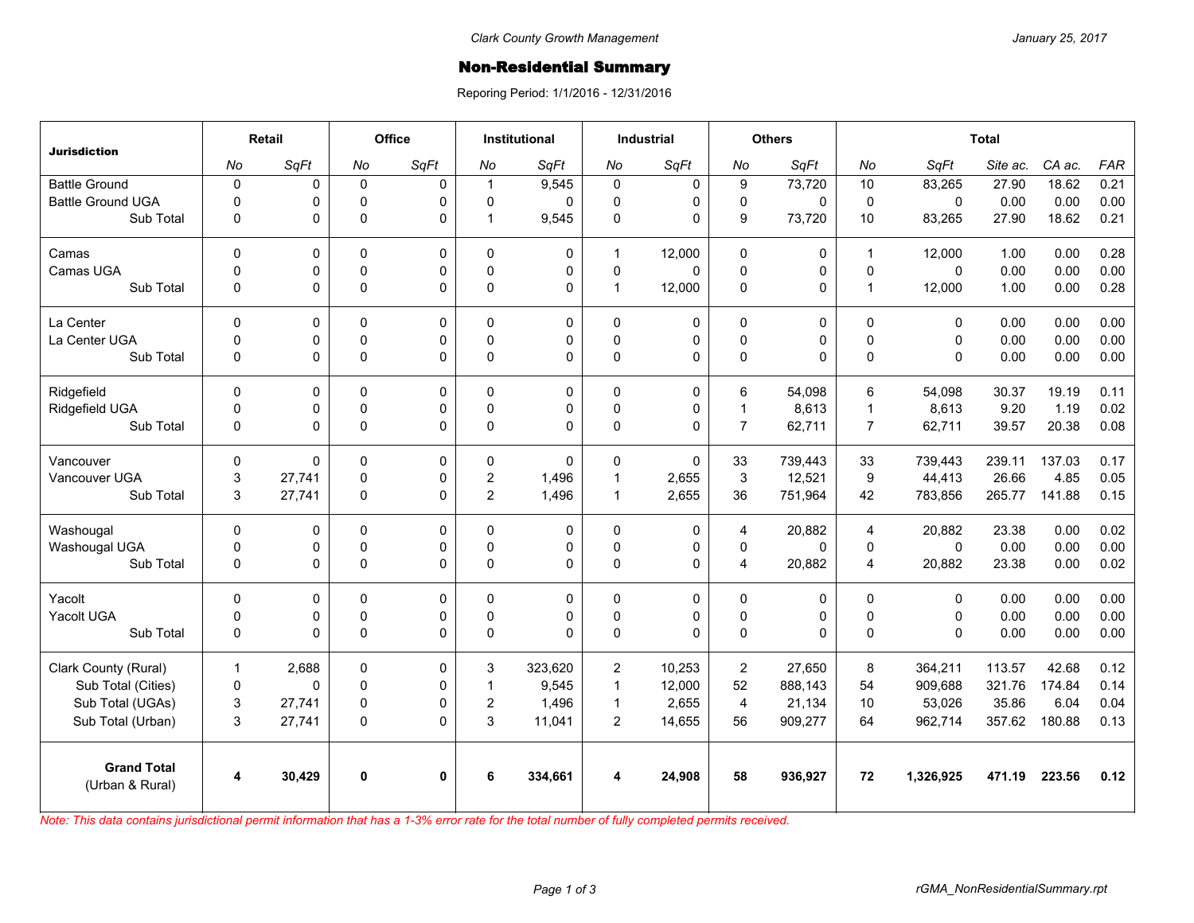## Non-Residential Summary

Reporing Period: 1/1/2016 - 12/31/2016

| <b>Jurisdiction</b>                   | Retail       |          | Office      |              | <b>Institutional</b> |          | <b>Industrial</b> |              | <b>Others</b>           |          | <b>Total</b>   |             |          |        |            |
|---------------------------------------|--------------|----------|-------------|--------------|----------------------|----------|-------------------|--------------|-------------------------|----------|----------------|-------------|----------|--------|------------|
|                                       | No           | SqFt     | No          | SqFt         | No                   | SqFt     | No                | SqFt         | No                      | SqFt     | No             | SqFt        | Site ac. | CA ac. | <b>FAR</b> |
| <b>Battle Ground</b>                  | $\pmb{0}$    | 0        | $\mathsf 0$ | $\mathbf 0$  | $\mathbf{1}$         | 9,545    | $\mathbf 0$       | 0            | $\boldsymbol{9}$        | 73,720   | 10             | 83,265      | 27.90    | 18.62  | 0.21       |
| <b>Battle Ground UGA</b>              | $\mathbf 0$  | 0        | $\mathbf 0$ | $\Omega$     | 0                    | 0        | $\mathbf 0$       | 0            | $\mathbf 0$             | $\Omega$ | $\mathbf 0$    | $\Omega$    | 0.00     | 0.00   | 0.00       |
| Sub Total                             | $\mathbf 0$  | 0        | $\mathsf 0$ | $\Omega$     | 1                    | 9,545    | $\pmb{0}$         | 0            | $\boldsymbol{9}$        | 73,720   | 10             | 83,265      | 27.90    | 18.62  | 0.21       |
| Camas                                 | $\mathbf 0$  | 0        | 0           | 0            | 0                    | 0        | $\overline{1}$    | 12,000       | 0                       | 0        | $\overline{1}$ | 12,000      | 1.00     | 0.00   | 0.28       |
| Camas UGA                             | $\mathbf 0$  | 0        | $\mathbf 0$ | $\Omega$     | 0                    | 0        | $\mathbf 0$       | $\Omega$     | $\mathbf 0$             | 0        | $\mathbf 0$    | $\Omega$    | 0.00     | 0.00   | 0.00       |
| Sub Total                             | $\mathbf 0$  | 0        | $\mathbf 0$ | $\Omega$     | 0                    | 0        | $\mathbf{1}$      | 12,000       | $\pmb{0}$               | 0        | $\overline{1}$ | 12,000      | 1.00     | 0.00   | 0.28       |
| La Center                             | $\mathbf 0$  | 0        | $\mathbf 0$ | 0            | 0                    | 0        | $\mathbf 0$       | 0            | 0                       | 0        | $\mathbf{0}$   | $\Omega$    | 0.00     | 0.00   | 0.00       |
| La Center UGA                         | $\mathbf 0$  | 0        | 0           | $\mathbf 0$  | $\Omega$             | 0        | 0                 | 0            | 0                       | 0        | $\mathsf 0$    | $\mathbf 0$ | 0.00     | 0.00   | 0.00       |
| Sub Total                             | $\Omega$     | 0        | $\mathsf 0$ | $\Omega$     | 0                    | $\Omega$ | $\Omega$          | $\Omega$     | $\mathbf 0$             | 0        | $\Omega$       | $\Omega$    | 0.00     | 0.00   | 0.00       |
| Ridgefield                            | $\Omega$     | 0        | $\mathbf 0$ | 0            | 0                    | 0        | $\mathbf 0$       | 0            | 6                       | 54,098   | 6              | 54,098      | 30.37    | 19.19  | 0.11       |
| Ridgefield UGA                        | $\pmb{0}$    | 0        | $\pmb{0}$   | $\mathbf 0$  | $\mathbf 0$          | 0        | $\mathsf 0$       | 0            | $\mathbf{1}$            | 8,613    | $\overline{1}$ | 8,613       | 9.20     | 1.19   | 0.02       |
| Sub Total                             | $\Omega$     | 0        | $\Omega$    | $\Omega$     | 0                    | $\Omega$ | $\Omega$          | $\Omega$     | $\overline{7}$          | 62,711   | $\overline{7}$ | 62,711      | 39.57    | 20.38  | 0.08       |
| Vancouver                             | $\mathbf 0$  | $\Omega$ | $\mathbf 0$ | $\Omega$     | 0                    | $\Omega$ | $\Omega$          | $\Omega$     | 33                      | 739.443  | 33             | 739,443     | 239.11   | 137.03 | 0.17       |
| Vancouver UGA                         | 3            | 27,741   | 0           | $\mathbf 0$  | $\overline{2}$       | 1,496    | $\mathbf{1}$      | 2,655        | 3                       | 12,521   | 9              | 44,413      | 26.66    | 4.85   | 0.05       |
| Sub Total                             | 3            | 27,741   | 0           | $\Omega$     | $\overline{c}$       | 1,496    | $\mathbf{1}$      | 2,655        | 36                      | 751,964  | 42             | 783,856     | 265.77   | 141.88 | 0.15       |
| Washougal                             | $\mathbf 0$  | 0        | $\mathbf 0$ | 0            | 0                    | 0        | $\mathbf 0$       | 0            | 4                       | 20,882   | $\overline{4}$ | 20,882      | 23.38    | 0.00   | 0.02       |
| Washougal UGA                         | $\mathbf 0$  | 0        | $\mathsf 0$ | 0            | 0                    | 0        | $\mathbf 0$       | 0            | 0                       | 0        | $\mathbf 0$    | $\mathbf 0$ | 0.00     | 0.00   | 0.00       |
| Sub Total                             | $\mathbf 0$  | 0        | $\mathsf 0$ | $\Omega$     | 0                    | 0        | $\pmb{0}$         | 0            | $\overline{\mathbf{4}}$ | 20,882   | $\overline{4}$ | 20,882      | 23.38    | 0.00   | 0.02       |
| Yacolt                                | $\mathbf 0$  | 0        | 0           | 0            | 0                    | 0        | 0                 | 0            | 0                       | 0        | $\mathbf 0$    | 0           | 0.00     | 0.00   | 0.00       |
| Yacolt UGA                            | $\mathbf 0$  | 0        | $\mathbf 0$ | 0            | $\Omega$             | 0        | 0                 | 0            | $\pmb{0}$               | 0        | $\mathbf{0}$   | $\mathbf 0$ | 0.00     | 0.00   | 0.00       |
| Sub Total                             | $\mathbf 0$  | 0        | $\mathbf 0$ | $\Omega$     | 0                    | $\Omega$ | $\Omega$          | $\mathbf{0}$ | $\mathsf 0$             | 0        | $\Omega$       | $\Omega$    | 0.00     | 0.00   | 0.00       |
| Clark County (Rural)                  | $\mathbf{1}$ | 2,688    | 0           | 0            | 3                    | 323,620  | $\overline{c}$    | 10,253       | $\overline{2}$          | 27,650   | 8              | 364,211     | 113.57   | 42.68  | 0.12       |
| Sub Total (Cities)                    | $\pmb{0}$    | 0        | $\mathsf 0$ | 0            | 1                    | 9,545    | $\mathbf{1}$      | 12,000       | 52                      | 888,143  | 54             | 909,688     | 321.76   | 174.84 | 0.14       |
| Sub Total (UGAs)                      | 3            | 27,741   | $\pmb{0}$   | 0            | $\overline{2}$       | 1,496    | $\mathbf{1}$      | 2,655        | $\overline{\mathbf{4}}$ | 21,134   | 10             | 53,026      | 35.86    | 6.04   | 0.04       |
| Sub Total (Urban)                     | 3            | 27,741   | $\pmb{0}$   | $\Omega$     | 3                    | 11,041   | $\overline{2}$    | 14,655       | 56                      | 909,277  | 64             | 962,714     | 357.62   | 180.88 | 0.13       |
| <b>Grand Total</b><br>(Urban & Rural) | 4            | 30,429   | $\bf{0}$    | $\mathbf{0}$ | 6                    | 334,661  | 4                 | 24,908       | 58                      | 936,927  | 72             | 1,326,925   | 471.19   | 223.56 | 0.12       |

*Note: This data contains jurisdictional permit information that has a 1-3% error rate for the total number of fully completed permits received.*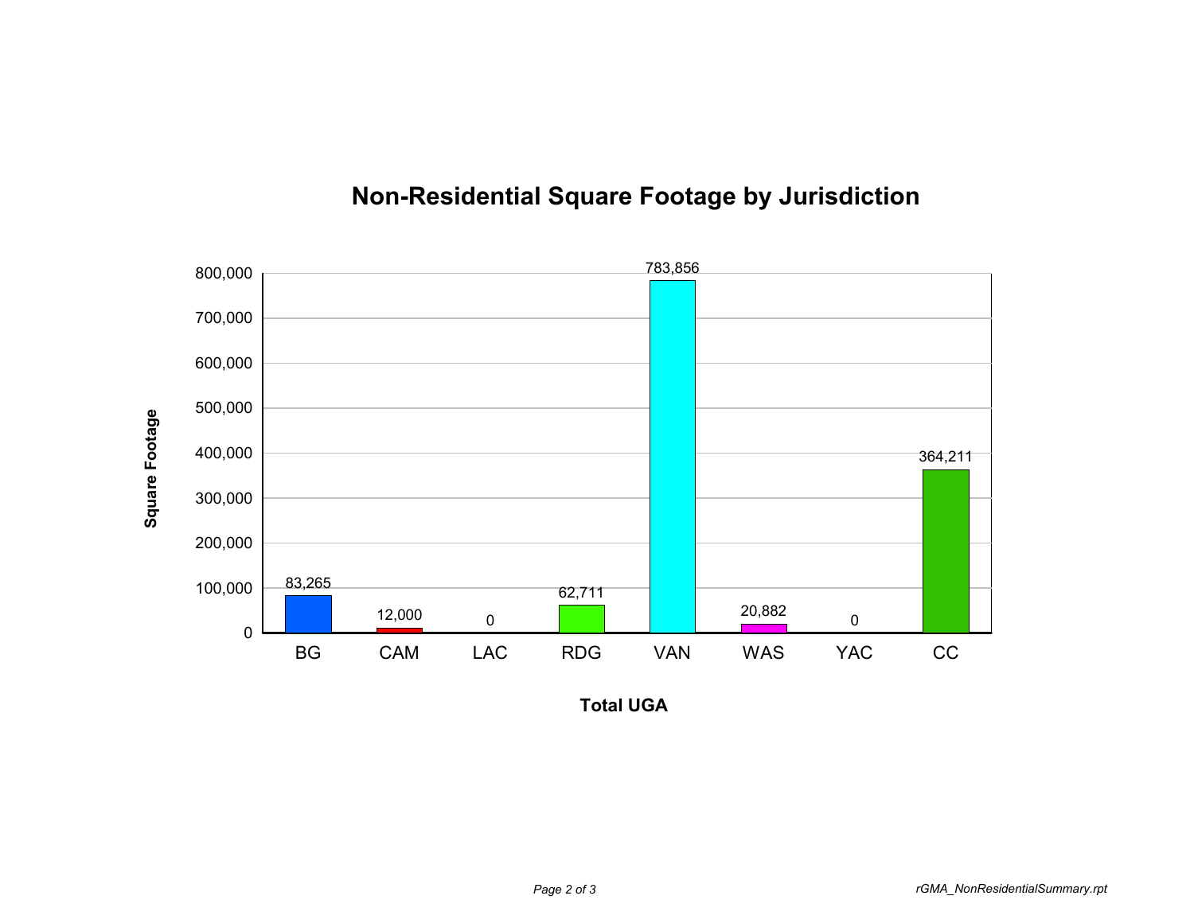

## **Non-Residential Square Footage by Jurisdiction**

**Total UGA**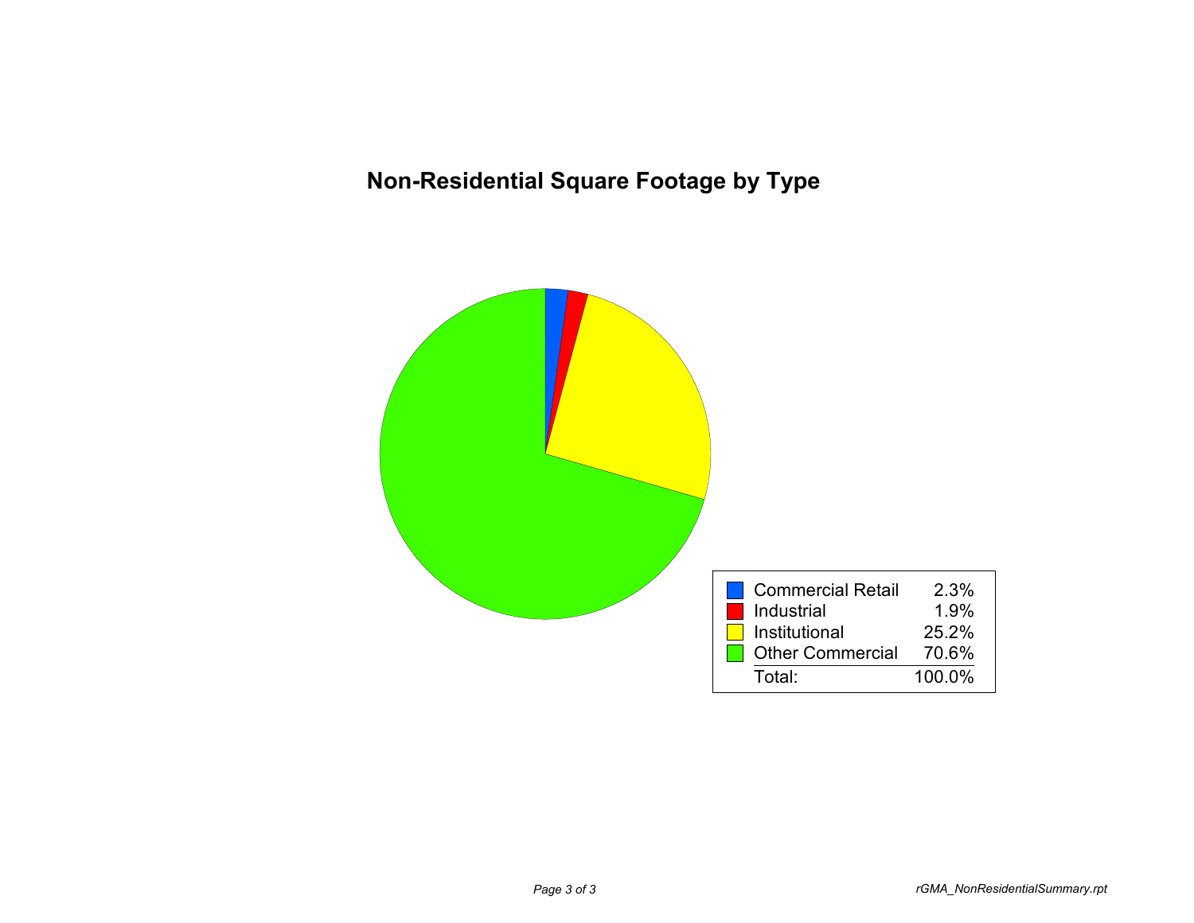## **Non-Residential Square Footage by Type**